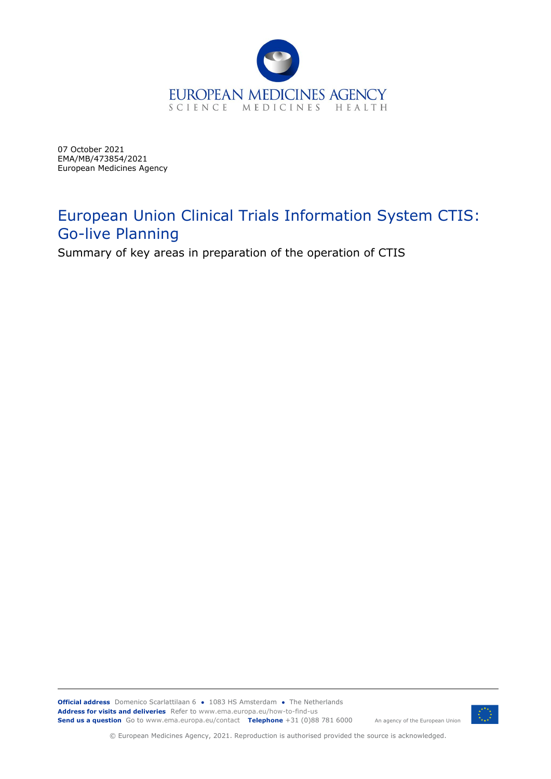

07 October 2021 EMA/MB/473854/2021 European Medicines Agency

# European Union Clinical Trials Information System CTIS: Go-live Planning

Summary of key areas in preparation of the operation of CTIS

**Official address** Domenico Scarlattilaan 6 **●** 1083 HS Amsterdam **●** The Netherlands An agency of the European Union **Address for visits and deliveries** Refer to www.ema.europa.eu/how-to-find-us **Send us a question** Go to www.ema.europa.eu/contact **Telephone** +31 (0)88 781 6000



© European Medicines Agency, 2021. Reproduction is authorised provided the source is acknowledged.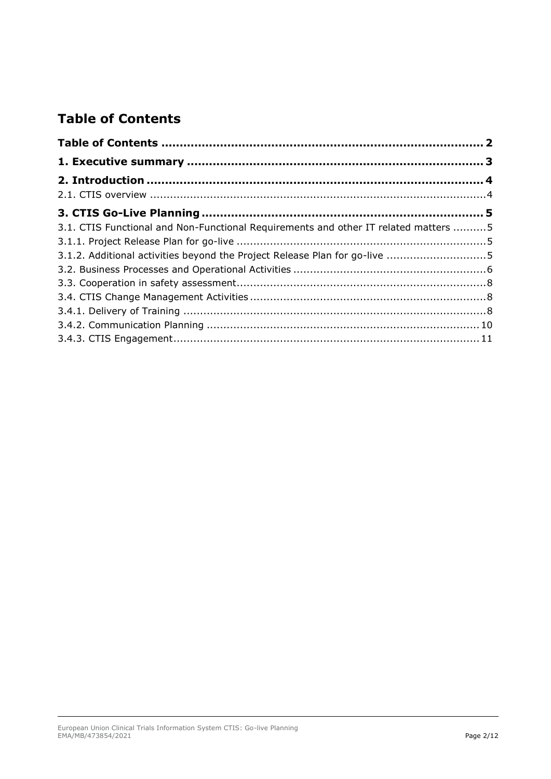# **Table of Contents**

| 3.1. CTIS Functional and Non-Functional Requirements and other IT related matters  5 |  |
|--------------------------------------------------------------------------------------|--|
|                                                                                      |  |
| 3.1.2. Additional activities beyond the Project Release Plan for go-live 5           |  |
|                                                                                      |  |
|                                                                                      |  |
|                                                                                      |  |
|                                                                                      |  |
|                                                                                      |  |
|                                                                                      |  |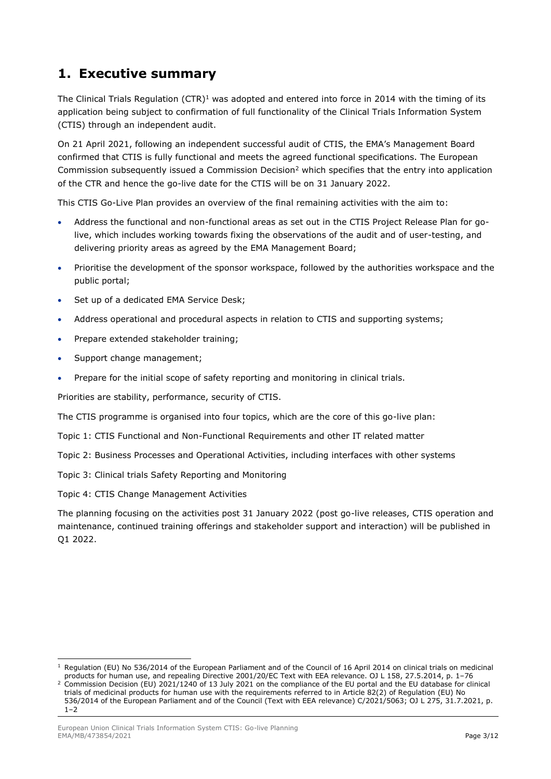## <span id="page-2-0"></span>**1. Executive summary**

The Clinical Trials Regulation  $(CTR)^1$  was adopted and entered into force in 2014 with the timing of its application being subject to confirmation of full functionality of the Clinical Trials Information System (CTIS) through an independent audit.

On 21 April 2021, following an independent successful audit of CTIS, the EMA's Management Board confirmed that CTIS is fully functional and meets the agreed functional specifications. The European Commission subsequently issued a Commission Decision<sup>2</sup> which specifies that the entry into application of the CTR and hence the go-live date for the CTIS will be on 31 January 2022.

This CTIS Go-Live Plan provides an overview of the final remaining activities with the aim to:

- Address the functional and non-functional areas as set out in the CTIS Project Release Plan for golive, which includes working towards fixing the observations of the audit and of user-testing, and delivering priority areas as agreed by the EMA Management Board;
- Prioritise the development of the sponsor workspace, followed by the authorities workspace and the public portal;
- Set up of a dedicated EMA Service Desk;
- Address operational and procedural aspects in relation to CTIS and supporting systems;
- Prepare extended stakeholder training;
- Support change management;
- Prepare for the initial scope of safety reporting and monitoring in clinical trials.

Priorities are stability, performance, security of CTIS.

The CTIS programme is organised into four topics, which are the core of this go-live plan:

Topic 1: CTIS Functional and Non-Functional Requirements and other IT related matter

Topic 2: Business Processes and Operational Activities, including interfaces with other systems

Topic 3: Clinical trials Safety Reporting and Monitoring

Topic 4: CTIS Change Management Activities

The planning focusing on the activities post 31 January 2022 (post go-live releases, CTIS operation and maintenance, continued training offerings and stakeholder support and interaction) will be published in Q1 2022.

 $1$  Regulation (EU) No 536/2014 of the European Parliament and of the Council of 16 April 2014 on clinical trials on medicinal products for human use, and repealing Directive 2001/20/EC Text with EEA relevance. OJ L 158, 27.5.2014, p. 1–76

<sup>&</sup>lt;sup>2</sup> Commission Decision (EU) 2021/1240 of 13 July 2021 on the compliance of the EU portal and the EU database for clinical trials of medicinal products for human use with the requirements referred to in Article 82(2) of Regulation (EU) No 536/2014 of the European Parliament and of the Council (Text with EEA relevance) C/2021/5063; OJ L 275, 31.7.2021, p.  $1 - 2$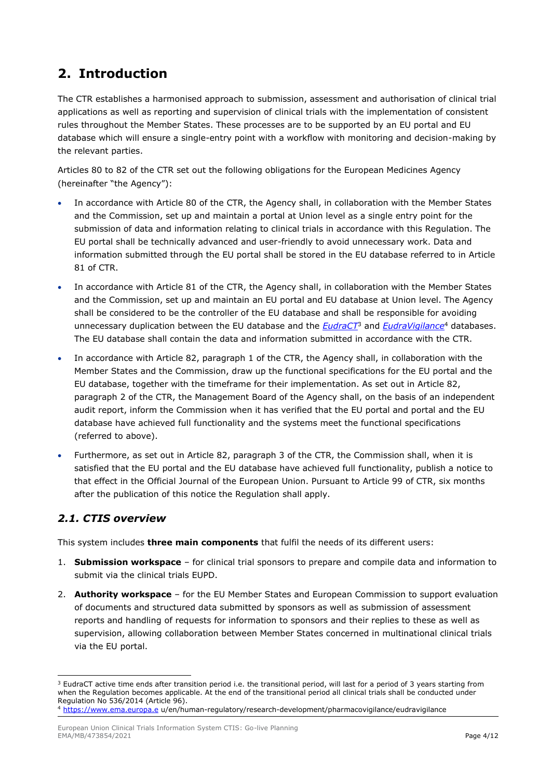# <span id="page-3-0"></span>**2. Introduction**

[The](https://ec.europa.eu/health/sites/health/files/files/eudralex/vol-1/reg_2014_536/reg_2014_536_en.pdf) CTR establishes a harmonised approach to submission, assessment and authorisation of clinical trial applications as well as reporting and supervision of clinical trials with the implementation of consistent rules throughout the Member States. These processes are to be supported by an EU portal and EU database which will ensure a single-entry point with a workflow with monitoring and decision-making by the relevant parties.

Articles 80 to 82 of the CTR set out the following obligations for the European Medicines Agency (hereinafter "the Agency"):

- In accordance with Article 80 of the CTR, the Agency shall, in collaboration with the Member States and the Commission, set up and maintain a portal at Union level as a single entry point for the submission of data and information relating to clinical trials in accordance with this Regulation. The EU portal shall be technically advanced and user-friendly to avoid unnecessary work. Data and information submitted through the EU portal shall be stored in the EU database referred to in Article 81 of CTR.
- In accordance with Article 81 of the CTR, the Agency shall, in collaboration with the Member States and the Commission, set up and maintain an EU portal and EU database at Union level. The Agency shall be considered to be the controller of the EU database and shall be responsible for avoiding unnecessary duplication between the EU database and the *[EudraCT](https://eudract.ema.europa.eu/)*<sup>3</sup> and *[EudraVigilance](http://www.ema.europa.eu/ema/index.jsp?curl=pages/regulation/general/general_content_000679.jsp&mid=WC0b01ac05800250b5)*<sup>4</sup> databases. The EU database shall contain the data and information submitted in accordance with the CTR.
- In accordance with Article 82, paragraph 1 of the CTR, the Agency shall, in collaboration with the Member States and the Commission, draw up the functional specifications for the EU portal and the EU database, together with the timeframe for their implementation. As set out in Article 82, paragraph 2 of the CTR, the Management Board of the Agency shall, on the basis of an independent audit report, inform the Commission when it has verified that the EU portal and portal and the EU database have achieved full functionality and the systems meet the functional specifications (referred to above).
- Furthermore, as set out in Article 82, paragraph 3 of the CTR, the Commission shall, when it is satisfied that the EU portal and the EU database have achieved full functionality, publish a notice to that effect in the Official Journal of the European Union. Pursuant to Article 99 of CTR, six months after the publication of this notice the Regulation shall apply.

### <span id="page-3-1"></span>*2.1. CTIS overview*

This system includes **three main components** that fulfil the needs of its different users:

- 1. **Submission workspace**  for clinical trial sponsors to prepare and compile data and information to submit via the clinical trials EUPD.
- 2. **Authority workspace**  for the EU Member States and European Commission to support evaluation of documents and structured data submitted by sponsors as well as submission of assessment reports and handling of requests for information to sponsors and their replies to these as well as supervision, allowing collaboration between Member States concerned in multinational clinical trials via the EU portal.

<sup>&</sup>lt;sup>3</sup> EudraCT active time ends after transition period i.e. the transitional period, will last for a period of 3 years starting from when the Regulation becomes applicable. At the end of the transitional period all clinical trials shall be conducted under Regulation No 536/2014 (Article 96).

<sup>4</sup> [https://www.ema.europa.e](https://www.ema.europa.e/) u/en/human-regulatory/research-development/pharmacovigilance/eudravigilance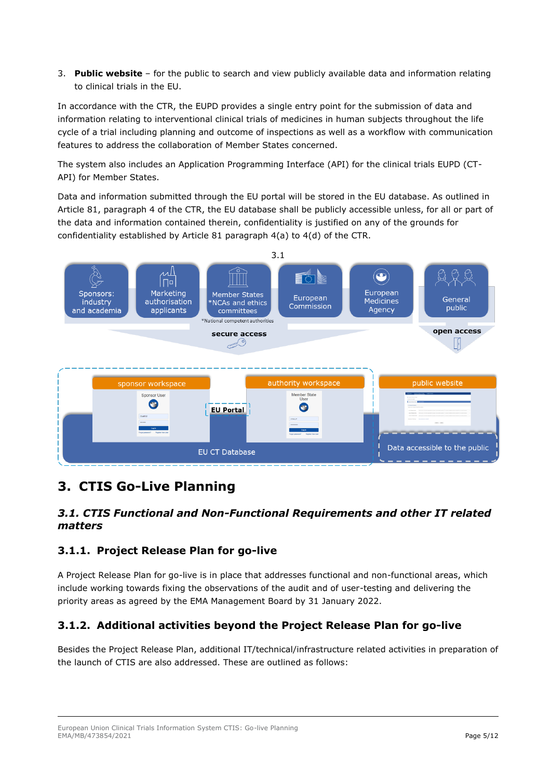3. **Public website** – for the public to search and view publicly available data and information relating to clinical trials in the EU.

In accordance with the CTR, the EUPD provides a single entry point for the submission of data and information relating to interventional clinical trials of medicines in human subjects throughout the life cycle of a trial including planning and outcome of inspections as well as a workflow with communication features to address the collaboration of Member States concerned.

The system also includes an Application Programming Interface (API) for the clinical trials EUPD (CT-API) for Member States.

Data and information submitted through the EU portal will be stored in the EU database. As outlined in Article 81, paragraph 4 of the CTR, the EU database shall be publicly accessible unless, for all or part of the data and information contained therein, confidentiality is justified on any of the grounds for confidentiality established by Article 81 paragraph 4(a) to 4(d) of the CTR.



## <span id="page-4-0"></span>**3. CTIS Go-Live Planning**

#### <span id="page-4-1"></span>*3.1. CTIS Functional and Non-Functional Requirements and other IT related matters*

### <span id="page-4-2"></span>**3.1.1. Project Release Plan for go-live**

A Project Release Plan for go-live is in place that addresses functional and non-functional areas, which include working towards fixing the observations of the audit and of user-testing and delivering the priority areas as agreed by the EMA Management Board by 31 January 2022.

### <span id="page-4-3"></span>**3.1.2. Additional activities beyond the Project Release Plan for go-live**

Besides the Project Release Plan, additional IT/technical/infrastructure related activities in preparation of the launch of CTIS are also addressed. These are outlined as follows: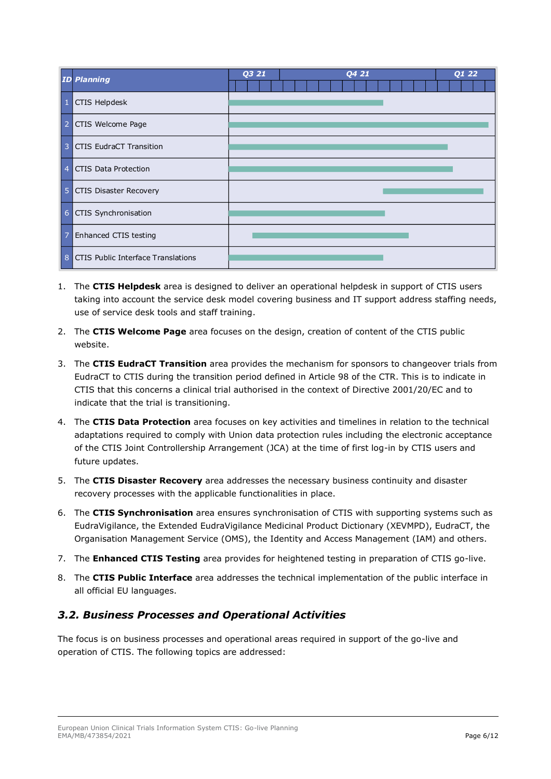|                | <b>ID Planning</b>                        | Q3 21<br>Q4 21 | $Q1$ 22 |
|----------------|-------------------------------------------|----------------|---------|
| $\mathbf{1}$   | CTIS Helpdesk                             |                |         |
| $\vert$ 2      | CTIS Welcome Page                         |                |         |
| $\overline{3}$ | <b>CTIS EudraCT Transition</b>            |                |         |
| $\overline{4}$ | <b>CTIS Data Protection</b>               |                |         |
| 5 <sup>1</sup> | <b>CTIS Disaster Recovery</b>             |                |         |
|                | 6 CTIS Synchronisation                    |                |         |
| $\overline{7}$ | Enhanced CTIS testing                     |                |         |
| 8              | <b>CTIS Public Interface Translations</b> |                |         |

- 1. The **CTIS Helpdesk** area is designed to deliver an operational helpdesk in support of CTIS users taking into account the service desk model covering business and IT support address staffing needs, use of service desk tools and staff training.
- 2. The **CTIS Welcome Page** area focuses on the design, creation of content of the CTIS public website.
- 3. The **CTIS EudraCT Transition** area provides the mechanism for sponsors to changeover trials from EudraCT to CTIS during the transition period defined in Article 98 of the CTR. This is to indicate in CTIS that this concerns a clinical trial authorised in the context of Directive 2001/20/EC and to indicate that the trial is transitioning.
- 4. The **CTIS Data Protection** area focuses on key activities and timelines in relation to the technical adaptations required to comply with Union data protection rules including the electronic acceptance of the CTIS Joint Controllership Arrangement (JCA) at the time of first log-in by CTIS users and future updates.
- 5. The **CTIS Disaster Recovery** area addresses the necessary business continuity and disaster recovery processes with the applicable functionalities in place.
- 6. The **CTIS Synchronisation** area ensures synchronisation of CTIS with supporting systems such as EudraVigilance, the Extended EudraVigilance Medicinal Product Dictionary (XEVMPD), EudraCT, the Organisation Management Service (OMS), the Identity and Access Management (IAM) and others.
- 7. The **Enhanced CTIS Testing** area provides for heightened testing in preparation of CTIS go-live.
- 8. The **CTIS Public Interface** area addresses the technical implementation of the public interface in all official EU languages.

### <span id="page-5-0"></span>*3.2. Business Processes and Operational Activities*

The focus is on business processes and operational areas required in support of the go-live and operation of CTIS. The following topics are addressed: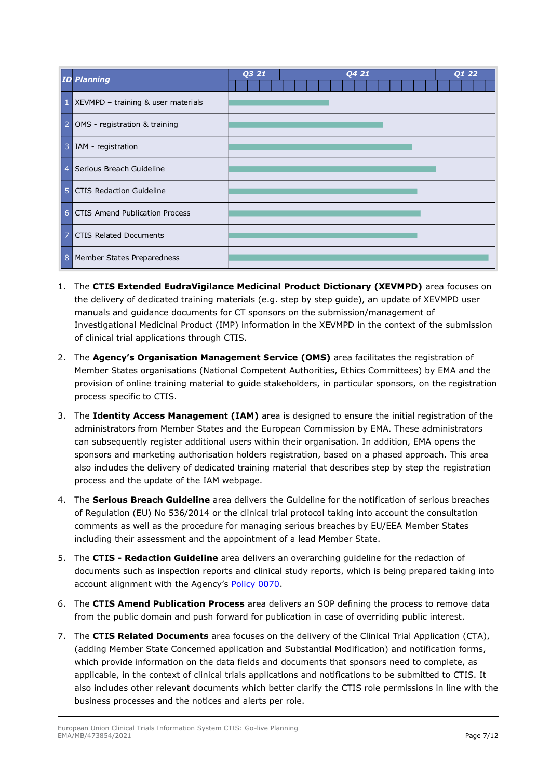|                | <b>ID Planning</b>                    | Q3 21 | Q421 | Q1 22 |
|----------------|---------------------------------------|-------|------|-------|
|                | 1 XEVMPD - training & user materials  |       |      |       |
| $\overline{2}$ | OMS - registration & training         |       |      |       |
| 3              | IAM - registration                    |       |      |       |
| $\overline{4}$ | Serious Breach Guideline              |       |      |       |
| $5\phantom{1}$ | <b>CTIS Redaction Guideline</b>       |       |      |       |
| 6              | <b>CTIS Amend Publication Process</b> |       |      |       |
| $\overline{7}$ | <b>CTIS Related Documents</b>         |       |      |       |
| 8              | Member States Preparedness            |       |      |       |

- 1. The **CTIS Extended EudraVigilance Medicinal Product Dictionary (XEVMPD)** area focuses on the delivery of dedicated training materials (e.g. step by step guide), an update of XEVMPD user manuals and guidance documents for CT sponsors on the submission/management of Investigational Medicinal Product (IMP) information in the XEVMPD in the context of the submission of clinical trial applications through CTIS.
- 2. The **Agency's Organisation Management Service (OMS)** area facilitates the registration of Member States organisations (National Competent Authorities, Ethics Committees) by EMA and the provision of online training material to guide stakeholders, in particular sponsors, on the registration process specific to CTIS.
- 3. The **Identity Access Management (IAM)** area is designed to ensure the initial registration of the administrators from Member States and the European Commission by EMA. These administrators can subsequently register additional users within their organisation. In addition, EMA opens the sponsors and marketing authorisation holders registration, based on a phased approach. This area also includes the delivery of dedicated training material that describes step by step the registration process and the update of the IAM webpage.
- 4. The **Serious Breach Guideline** area delivers the [Guideline for the notification of serious breaches](https://www.ema.europa.eu/en/documents/scientific-guideline/draft-guideline-notification-serious-breaches-regulation-eu-no-536/2014-clinical-trial-protocol_en.pdf)  [of Regulation \(EU\) No 536/2014 or the clinical trial protocol](https://www.ema.europa.eu/en/documents/scientific-guideline/draft-guideline-notification-serious-breaches-regulation-eu-no-536/2014-clinical-trial-protocol_en.pdf) taking into account the consultation comments as well as the procedure for managing serious breaches by EU/EEA Member States including their assessment and the appointment of a lead Member State.
- 5. The **CTIS - Redaction Guideline** area delivers an overarching guideline for the redaction of documents such as inspection reports and clinical study reports, which is being prepared taking into account alignment with the Agency's [Policy 0070.](https://www.ema.europa.eu/en/documents/other/european-medicines-agency-policy-publication-clinical-data-medicinal-products-human-use_en.pdf)
- 6. The **CTIS Amend Publication Process** area delivers an SOP defining the process to remove data from the public domain and push forward for publication in case of overriding public interest.
- 7. The **CTIS Related Documents** area focuses on the delivery of the Clinical Trial Application (CTA), (adding Member State Concerned application and Substantial Modification) and notification forms, which provide information on the data fields and documents that sponsors need to complete, as applicable, in the context of clinical trials applications and notifications to be submitted to CTIS. It also includes other relevant documents which better clarify the CTIS role permissions in line with the business processes and the notices and alerts per role.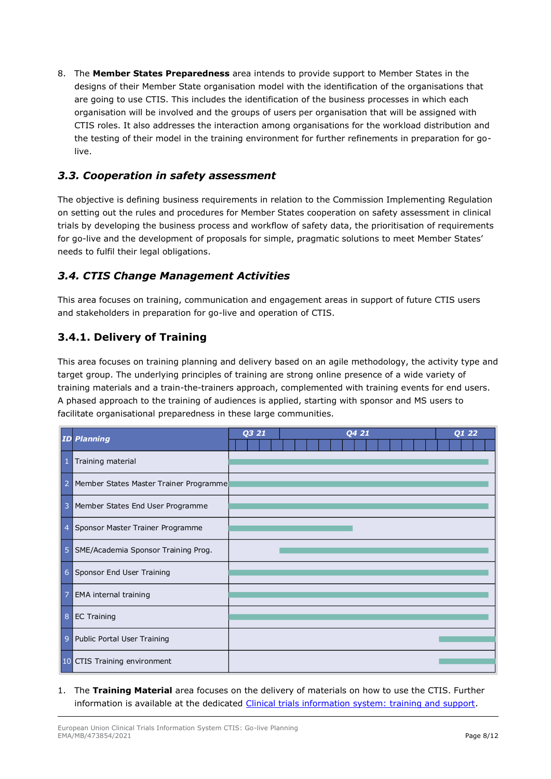8. The **Member States Preparedness** area intends to provide support to Member States in the designs of their Member State organisation model with the identification of the organisations that are going to use CTIS. This includes the identification of the business processes in which each organisation will be involved and the groups of users per organisation that will be assigned with CTIS roles. It also addresses the interaction among organisations for the workload distribution and the testing of their model in the training environment for further refinements in preparation for golive.

#### <span id="page-7-0"></span>*3.3. Cooperation in safety assessment*

The objective is defining business requirements in relation to the Commission Implementing Regulation on setting out the rules and procedures for Member States cooperation on safety assessment in clinical trials by developing the business process and workflow of safety data, the prioritisation of requirements for go-live and the development of proposals for simple, pragmatic solutions to meet Member States' needs to fulfil their legal obligations.

### <span id="page-7-1"></span>*3.4. CTIS Change Management Activities*

This area focuses on training, communication and engagement areas in support of future CTIS users and stakeholders in preparation for go-live and operation of CTIS.

### <span id="page-7-2"></span>**3.4.1. Delivery of Training**

This area focuses on training planning and delivery based on an agile methodology, the activity type and target group. The underlying principles of training are strong online presence of a wide variety of training materials and a train-the-trainers approach, complemented with training events for end users. A phased approach to the training of audiences is applied, starting with sponsor and MS users to facilitate organisational preparedness in these large communities.

|                | <b>ID Planning</b>                     | Q3 21 | Q4 21 | $\overline{Q1}$ 22 |
|----------------|----------------------------------------|-------|-------|--------------------|
| 1              | Training material                      |       |       |                    |
| 2              | Member States Master Trainer Programme |       |       |                    |
| 3              | Member States End User Programme       |       |       |                    |
| $\overline{4}$ | Sponsor Master Trainer Programme       |       |       |                    |
| 5              | SME/Academia Sponsor Training Prog.    |       |       |                    |
|                | 6 Sponsor End User Training            |       |       |                    |
| 7              | <b>EMA</b> internal training           |       |       |                    |
| 8              | EC Training                            |       |       |                    |
| $\overline{9}$ | Public Portal User Training            |       |       |                    |
|                | 10 CTIS Training environment           |       |       |                    |

1. The **Training Material** area focuses on the delivery of materials on how to use the CTIS. Further information is available at the dedicated [Clinical trials information system: training and support.](https://www.ema.europa.eu/en/human-regulatory/research-development/clinical-trials/clinical-trials-information-system-training-support)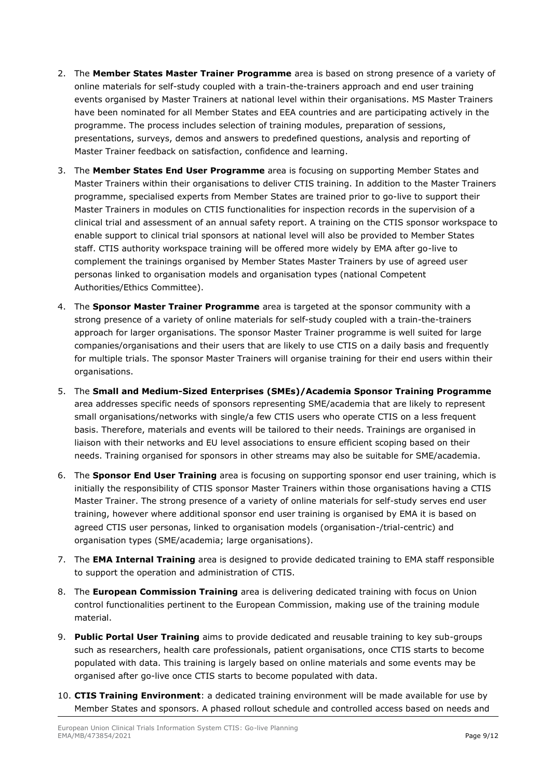- 2. The **Member States Master Trainer Programme** area is based on strong presence of a variety of online materials for self-study coupled with a train-the-trainers approach and end user training events organised by Master Trainers at national level within their organisations. MS Master Trainers have been nominated for all Member States and EEA countries and are participating actively in the programme. The process includes selection of training modules, preparation of sessions, presentations, surveys, demos and answers to predefined questions, analysis and reporting of Master Trainer feedback on satisfaction, confidence and learning.
- 3. The **Member States End User Programme** area is focusing on supporting Member States and Master Trainers within their organisations to deliver CTIS training. In addition to the Master Trainers programme, specialised experts from Member States are trained prior to go-live to support their Master Trainers in modules on CTIS functionalities for inspection records in the supervision of a clinical trial and assessment of an annual safety report. A training on the CTIS sponsor workspace to enable support to clinical trial sponsors at national level will also be provided to Member States staff. CTIS authority workspace training will be offered more widely by EMA after go-live to complement the trainings organised by Member States Master Trainers by use of agreed user personas linked to organisation models and organisation types (national Competent Authorities/Ethics Committee).
- 4. The **Sponsor Master Trainer Programme** area is targeted at the sponsor community with a strong presence of a variety of online materials for self-study coupled with a train-the-trainers approach for larger organisations. The sponsor Master Trainer programme is well suited for large companies/organisations and their users that are likely to use CTIS on a daily basis and frequently for multiple trials. The sponsor Master Trainers will organise training for their end users within their organisations.
- 5. The **Small and Medium-Sized Enterprises (SMEs)/Academia Sponsor Training Programme** area addresses specific needs of sponsors representing SME/academia that are likely to represent small organisations/networks with single/a few CTIS users who operate CTIS on a less frequent basis. Therefore, materials and events will be tailored to their needs. Trainings are organised in liaison with their networks and EU level associations to ensure efficient scoping based on their needs. Training organised for sponsors in other streams may also be suitable for SME/academia.
- 6. The **Sponsor End User Training** area is focusing on supporting sponsor end user training, which is initially the responsibility of CTIS sponsor Master Trainers within those organisations having a CTIS Master Trainer. The strong presence of a variety of online materials for self-study serves end user training, however where additional sponsor end user training is organised by EMA it is based on agreed CTIS user personas, linked to organisation models (organisation-/trial-centric) and organisation types (SME/academia; large organisations).
- 7. The **EMA Internal Training** area is designed to provide dedicated training to EMA staff responsible to support the operation and administration of CTIS.
- 8. The **European Commission Training** area is delivering dedicated training with focus on Union control functionalities pertinent to the European Commission, making use of the training module material.
- 9. **Public Portal User Training** aims to provide dedicated and reusable training to key sub-groups such as researchers, health care professionals, patient organisations, once CTIS starts to become populated with data. This training is largely based on online materials and some events may be organised after go-live once CTIS starts to become populated with data.
- 10. **CTIS Training Environment**: a dedicated training environment will be made available for use by Member States and sponsors. A phased rollout schedule and controlled access based on needs and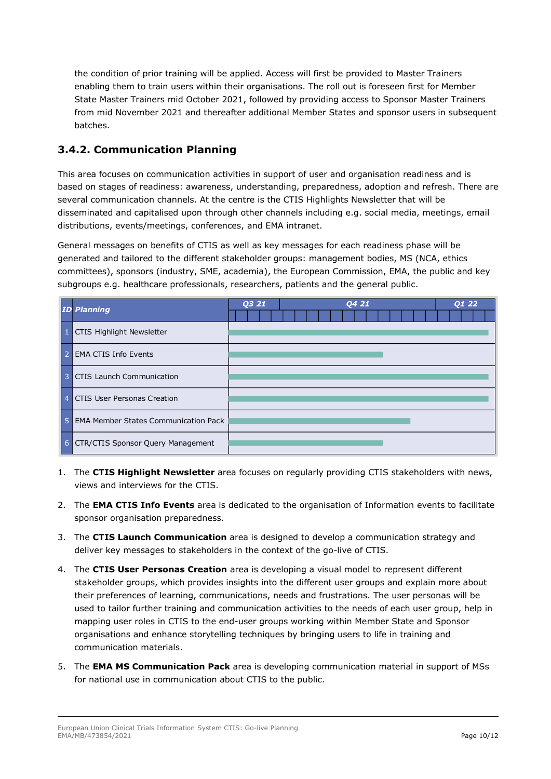the condition of prior training will be applied. Access will first be provided to Master Trainers enabling them to train users within their organisations. The roll out is foreseen first for Member State Master Trainers mid October 2021, followed by providing access to Sponsor Master Trainers from mid November 2021 and thereafter additional Member States and sponsor users in subsequent batches.

#### <span id="page-9-0"></span>**3.4.2. Communication Planning**

This area focuses on communication activities in support of user and organisation readiness and is based on stages of readiness: awareness, understanding, preparedness, adoption and refresh. There are several communication channels. At the centre is the CTIS Highlights Newsletter that will be disseminated and capitalised upon through other channels including e.g. social media, meetings, email distributions, events/meetings, conferences, and EMA intranet.

General messages on benefits of CTIS as well as key messages for each readiness phase will be generated and tailored to the different stakeholder groups: management bodies, MS (NCA, ethics committees), sponsors (industry, SME, academia), the European Commission, EMA, the public and key subgroups e.g. healthcare professionals, researchers, patients and the general public.

|                | <b>ID Planning</b>                          | <b>Q3 21</b> | <b>Q4 21</b> | Q1 22 |
|----------------|---------------------------------------------|--------------|--------------|-------|
| $\mathbf{1}$   | <b>CTIS Highlight Newsletter</b>            |              |              |       |
| -2             | EMA CTIS Info Events                        |              |              |       |
| 3              | CTIS Launch Communication                   |              |              |       |
| $\overline{4}$ | CTIS User Personas Creation                 |              |              |       |
| .5             | <b>EMA Member States Communication Pack</b> |              |              |       |
|                | 6 CTR/CTIS Sponsor Query Management         |              |              |       |

- 1. The **CTIS Highlight Newsletter** area focuses on regularly providing CTIS stakeholders with news, views and interviews for the CTIS.
- 2. The **EMA CTIS Info Events** area is dedicated to the organisation of Information events to facilitate sponsor organisation preparedness.
- 3. The **CTIS Launch Communication** area is designed to develop a communication strategy and deliver key messages to stakeholders in the context of the go-live of CTIS.
- 4. The **CTIS User Personas Creation** area is developing a visual model to represent different stakeholder groups, which provides insights into the different user groups and explain more about their preferences of learning, communications, needs and frustrations. The user personas will be used to tailor further training and communication activities to the needs of each user group, help in mapping user roles in CTIS to the end-user groups working within Member State and Sponsor organisations and enhance storytelling techniques by bringing users to life in training and communication materials.
- 5. The **EMA MS Communication Pack** area is developing communication material in support of MSs for national use in communication about CTIS to the public.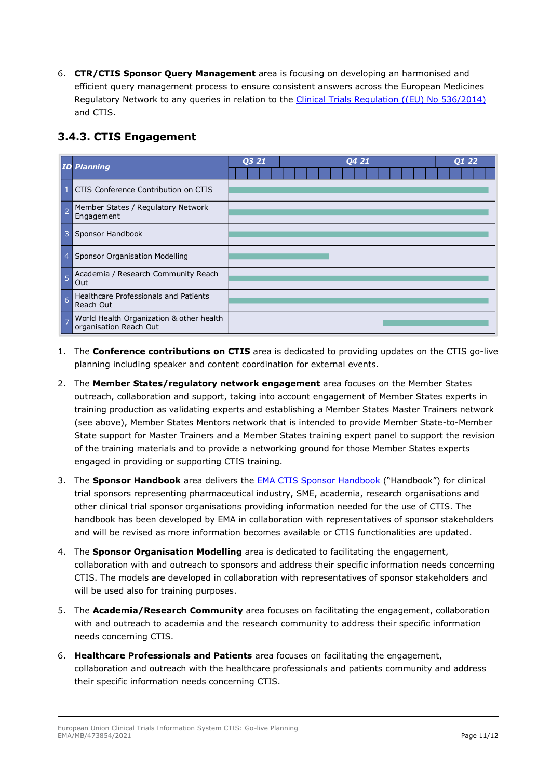6. **CTR/CTIS Sponsor Query Management** area is focusing on developing an harmonised and efficient query management process to ensure consistent answers across the European Medicines Regulatory Network to any queries in relation to the [Clinical Trials Regulation \(\(EU\) No 536/2014\)](https://eur-lex.europa.eu/legal-content/EN/TXT/?uri=celex%3A32014R0536) and CTIS.

### <span id="page-10-0"></span>**3.4.3. CTIS Engagement**



- 1. The **Conference contributions on CTIS** area is dedicated to providing updates on the CTIS go-live planning including speaker and content coordination for external events.
- 2. The **Member States/regulatory network engagement** area focuses on the Member States outreach, collaboration and support, taking into account engagement of Member States experts in training production as validating experts and establishing a Member States Master Trainers network (see above), Member States Mentors network that is intended to provide Member State-to-Member State support for Master Trainers and a Member States training expert panel to support the revision of the training materials and to provide a networking ground for those Member States experts engaged in providing or supporting CTIS training.
- 3. The **Sponsor Handbook** area delivers the [EMA CTIS Sponsor Handbook](https://www.ema.europa.eu/en/documents/other/clinical-trial-information-system-ctis-sponsor-handbook_en.pdf) ("Handbook") for clinical trial sponsors representing pharmaceutical industry, SME, academia, research organisations and other clinical trial sponsor organisations providing information needed for the use of CTIS. The handbook has been developed by EMA in collaboration with representatives of sponsor stakeholders and will be revised as more information becomes available or CTIS functionalities are updated.
- 4. The **Sponsor Organisation Modelling** area is dedicated to facilitating the engagement, collaboration with and outreach to sponsors and address their specific information needs concerning CTIS. The models are developed in collaboration with representatives of sponsor stakeholders and will be used also for training purposes.
- 5. The **Academia/Research Community** area focuses on facilitating the engagement, collaboration with and outreach to academia and the research community to address their specific information needs concerning CTIS.
- 6. **Healthcare Professionals and Patients** area focuses on facilitating the engagement, collaboration and outreach with the healthcare professionals and patients community and address their specific information needs concerning CTIS.